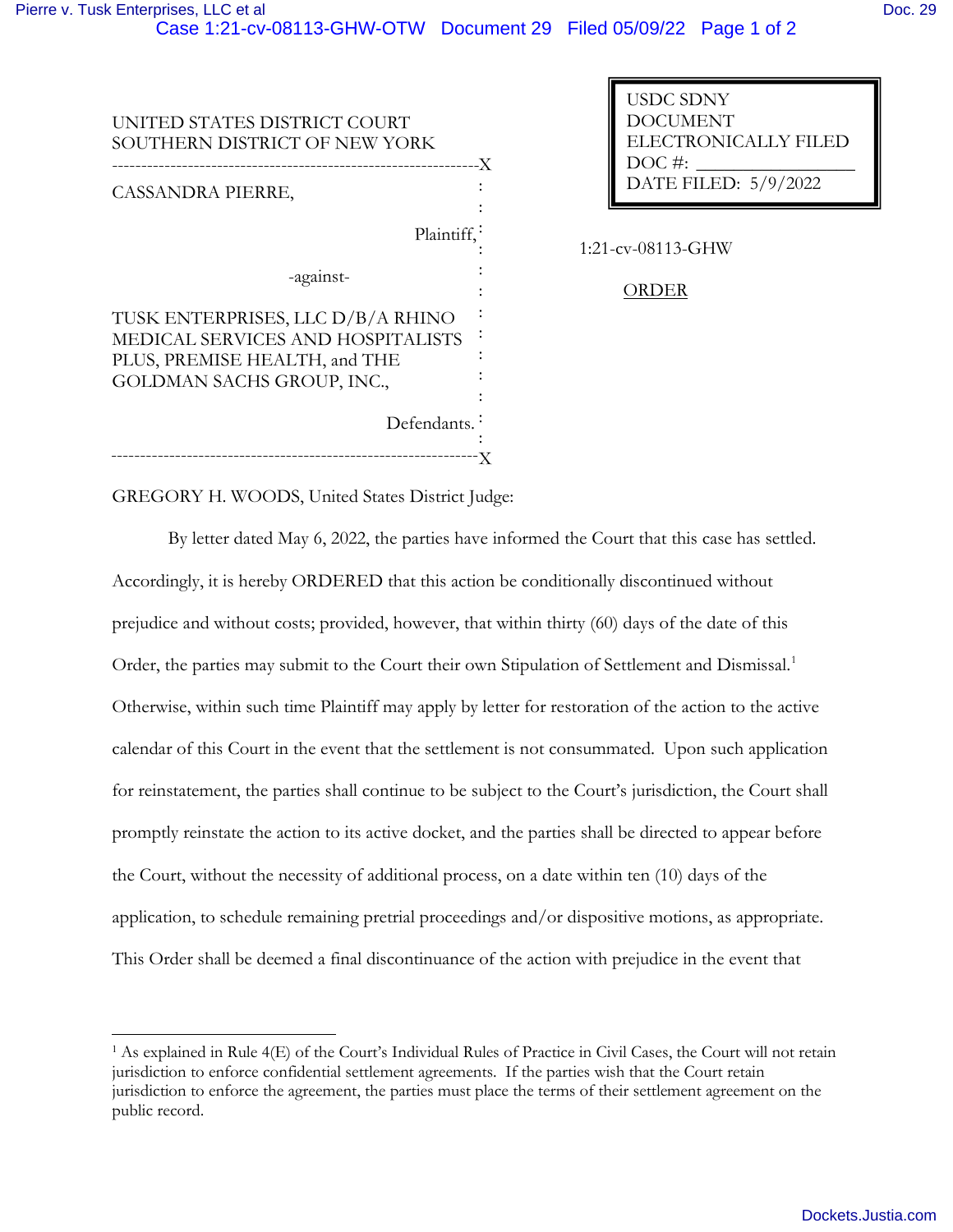|--|--|

| UNITED STATES DISTRICT COURT<br>SOUTHERN DISTRICT OF NEW YORK                                                                         | -X |
|---------------------------------------------------------------------------------------------------------------------------------------|----|
| CASSANDRA PIERRE,                                                                                                                     |    |
| Plaintiff,                                                                                                                            |    |
| -against-                                                                                                                             |    |
| TUSK ENTERPRISES, LLC D/B/A RHINO<br>MEDICAL SERVICES AND HOSPITALISTS<br>PLUS, PREMISE HEALTH, and THE<br>GOLDMAN SACHS GROUP, INC., |    |
| Defendants.                                                                                                                           |    |

USDC SDNY DOCUMENT ELECTRONICALLY FILED  $DOC$  #: DATE FILED: 5/9/2022

1:21-cv-08113-GHW

## ORDER

GREGORY H. WOODS, United States District Judge:

By letter dated May 6, 2022, the parties have informed the Court that this case has settled. Accordingly, it is hereby ORDERED that this action be conditionally discontinued without prejudice and without costs; provided, however, that within thirty (60) days of the date of this Order, the parties may submit to the Court their own Stipulation of Settlement and Dismissal.<sup>1</sup> Otherwise, within such time Plaintiff may apply by letter for restoration of the action to the active calendar of this Court in the event that the settlement is not consummated. Upon such application for reinstatement, the parties shall continue to be subject to the Court's jurisdiction, the Court shall promptly reinstate the action to its active docket, and the parties shall be directed to appear before the Court, without the necessity of additional process, on a date within ten (10) days of the application, to schedule remaining pretrial proceedings and/or dispositive motions, as appropriate. This Order shall be deemed a final discontinuance of the action with prejudice in the event that

<sup>&</sup>lt;sup>1</sup> As explained in Rule 4(E) of the Court's Individual Rules of Practice in Civil Cases, the Court will not retain jurisdiction to enforce confidential settlement agreements. If the parties wish that the Court retain jurisdiction to enforce the agreement, the parties must place the terms of their settlement agreement on the public record.